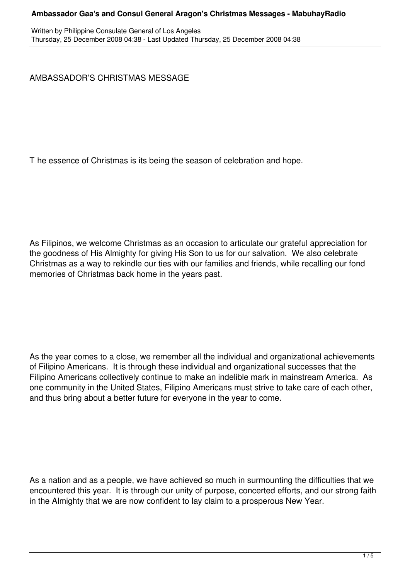Written by Philippine Consulate General of Los Angeles Thursday, 25 December 2008 04:38 - Last Updated Thursday, 25 December 2008 04:38

AMBASSADOR'S CHRISTMAS MESSAGE

T he essence of Christmas is its being the season of celebration and hope.

As Filipinos, we welcome Christmas as an occasion to articulate our grateful appreciation for the goodness of His Almighty for giving His Son to us for our salvation. We also celebrate Christmas as a way to rekindle our ties with our families and friends, while recalling our fond memories of Christmas back home in the years past.

As the year comes to a close, we remember all the individual and organizational achievements of Filipino Americans. It is through these individual and organizational successes that the Filipino Americans collectively continue to make an indelible mark in mainstream America. As one community in the United States, Filipino Americans must strive to take care of each other, and thus bring about a better future for everyone in the year to come.

As a nation and as a people, we have achieved so much in surmounting the difficulties that we encountered this year. It is through our unity of purpose, concerted efforts, and our strong faith in the Almighty that we are now confident to lay claim to a prosperous New Year.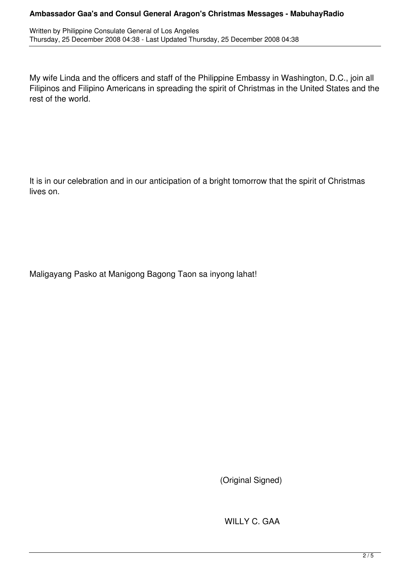Written by Philippine Consulate General of Los Angeles Thursday, 25 December 2008 04:38 - Last Updated Thursday, 25 December 2008 04:38

My wife Linda and the officers and staff of the Philippine Embassy in Washington, D.C., join all Filipinos and Filipino Americans in spreading the spirit of Christmas in the United States and the rest of the world.

It is in our celebration and in our anticipation of a bright tomorrow that the spirit of Christmas lives on.

Maligayang Pasko at Manigong Bagong Taon sa inyong lahat!

(Original Signed)

WILLY C. GAA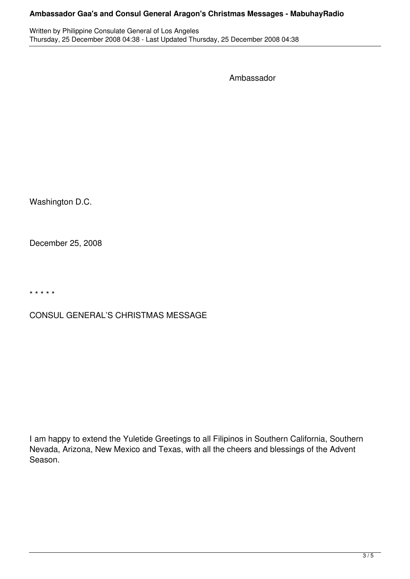Written by Philippine Consulate General of Los Angeles Thursday, 25 December 2008 04:38 - Last Updated Thursday, 25 December 2008 04:38

Ambassador

Washington D.C.

December 25, 2008

\* \* \* \* \*

# CONSUL GENERAL'S CHRISTMAS MESSAGE

I am happy to extend the Yuletide Greetings to all Filipinos in Southern California, Southern Nevada, Arizona, New Mexico and Texas, with all the cheers and blessings of the Advent Season.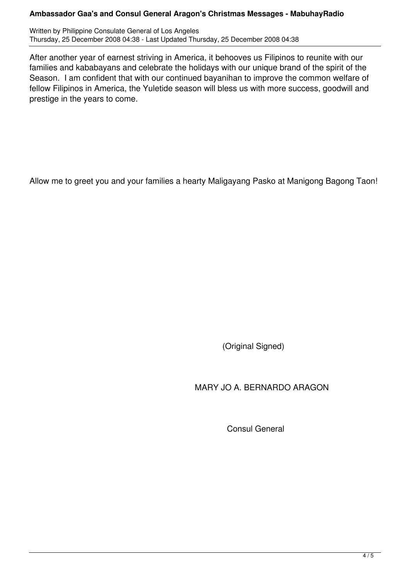Written by Philippine Consulate General of Los Angeles Thursday, 25 December 2008 04:38 - Last Updated Thursday, 25 December 2008 04:38

After another year of earnest striving in America, it behooves us Filipinos to reunite with our families and kababayans and celebrate the holidays with our unique brand of the spirit of the Season. I am confident that with our continued bayanihan to improve the common welfare of fellow Filipinos in America, the Yuletide season will bless us with more success, goodwill and prestige in the years to come.

Allow me to greet you and your families a hearty Maligayang Pasko at Manigong Bagong Taon!

(Original Signed)

MARY JO A. BERNARDO ARAGON

Consul General